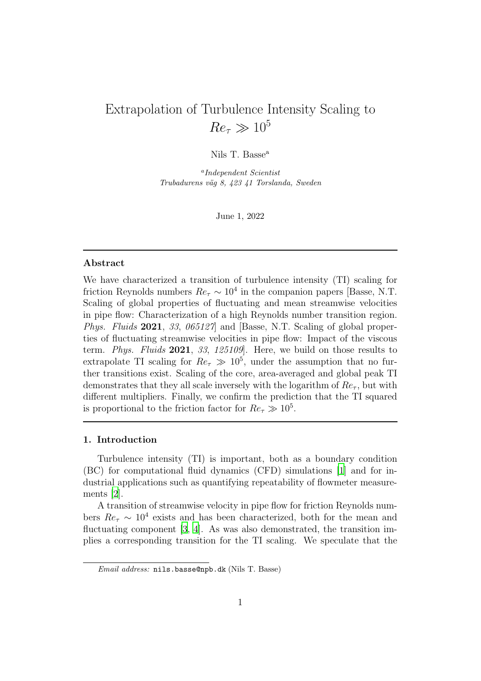# Extrapolation of Turbulence Intensity Scaling to  $Re_\tau \gg 10^5$

Nils T. Basse<sup>a</sup>

a Independent Scientist Trubadurens väg 8, 423 41 Torslanda, Sweden

June 1, 2022

#### Abstract

We have characterized a transition of turbulence intensity (TI) scaling for friction Reynolds numbers  $Re_\tau \sim 10^4$  in the companion papers [Basse, N.T. Scaling of global properties of fluctuating and mean streamwise velocities in pipe flow: Characterization of a high Reynolds number transition region. *Phys. Fluids* 2021, 33, 065127 and [Basse, N.T. Scaling of global properties of fluctuating streamwise velocities in pipe flow: Impact of the viscous term. Phys. Fluids 2021, 33, 125109]. Here, we build on those results to extrapolate TI scaling for  $Re_\tau \gg 10^5$ , under the assumption that no further transitions exist. Scaling of the core, area-averaged and global peak TI demonstrates that they all scale inversely with the logarithm of  $Re<sub>\tau</sub>$ , but with different multipliers. Finally, we confirm the prediction that the TI squared is proportional to the friction factor for  $Re_\tau \gg 10^5$ .

## 1. Introduction

Turbulence intensity (TI) is important, both as a boundary condition (BC) for computational fluid dynamics (CFD) simulations [\[1\]](#page-11-0) and for industrial applications such as quantifying repeatability of flowmeter measurements [\[2](#page-11-1)].

A transition of streamwise velocity in pipe flow for friction Reynolds numbers  $Re_\tau \sim 10^4$  exists and has been characterized, both for the mean and fluctuating component [\[3,](#page-11-2) [4](#page-11-3)]. As was also demonstrated, the transition implies a corresponding transition for the TI scaling. We speculate that the

Email address: nils.basse@npb.dk (Nils T. Basse)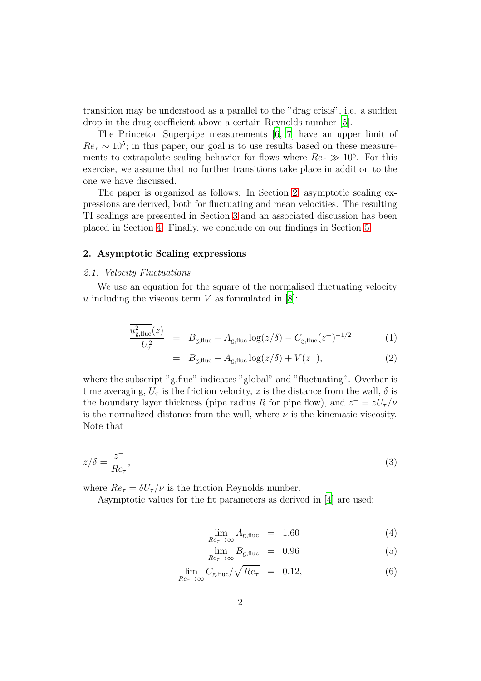transition may be understood as a parallel to the "drag crisis", i.e. a sudden drop in the drag coefficient above a certain Reynolds number [\[5\]](#page-11-4).

The Princeton Superpipe measurements [\[6,](#page-11-5) [7\]](#page-11-6) have an upper limit of  $Re_\tau \sim 10^5$ ; in this paper, our goal is to use results based on these measurements to extrapolate scaling behavior for flows where  $Re_\tau \gg 10^5$ . For this exercise, we assume that no further transitions take place in addition to the one we have discussed.

The paper is organized as follows: In Section [2,](#page-1-0) asymptotic scaling expressions are derived, both for fluctuating and mean velocities. The resulting TI scalings are presented in Section [3](#page-3-0) and an associated discussion has been placed in Section [4.](#page-6-0) Finally, we conclude on our findings in Section [5.](#page-10-0)

## <span id="page-1-0"></span>2. Asymptotic Scaling expressions

#### 2.1. Velocity Fluctuations

We use an equation for the square of the normalised fluctuating velocity u including the viscous term  $V$  as formulated in [\[8](#page-11-7)]:

$$
\frac{u_{\rm g, fluc}^2(z)}{U_{\tau}^2} = B_{\rm g, fluc} - A_{\rm g, fluc} \log(z/\delta) - C_{\rm g, fluc}(z^+)^{-1/2} \tag{1}
$$

$$
= B_{\text{g,fluc}} - A_{\text{g,fluc}} \log(z/\delta) + V(z^+), \tag{2}
$$

where the subscript "g,fluc" indicates "global" and "fluctuating". Overbar is time averaging,  $U_{\tau}$  is the friction velocity, z is the distance from the wall,  $\delta$  is the boundary layer thickness (pipe radius R for pipe flow), and  $z^+ = zU_\tau/\nu$ is the normalized distance from the wall, where  $\nu$  is the kinematic viscosity. Note that

$$
z/\delta = \frac{z^+}{Re_\tau},\tag{3}
$$

where  $Re_{\tau} = \delta U_{\tau}/\nu$  is the friction Reynolds number.

Asymptotic values for the fit parameters as derived in [\[4](#page-11-3)] are used:

<span id="page-1-1"></span>
$$
\lim_{Re_{\tau} \to \infty} A_{g, \text{fluc}} = 1.60 \tag{4}
$$

$$
\lim_{Re_{\tau} \to \infty} B_{g,\text{fluc}} = 0.96 \tag{5}
$$

$$
\lim_{Re_{\tau} \to \infty} C_{g, \text{fluc}} / \sqrt{Re_{\tau}} = 0.12, \tag{6}
$$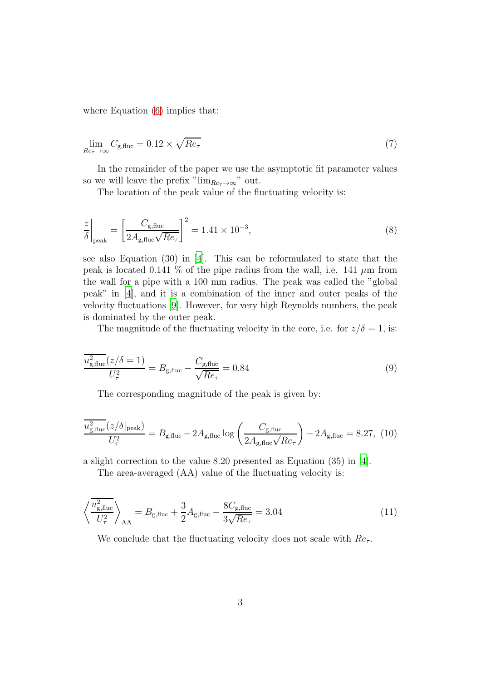where Equation  $(6)$  implies that:

$$
\lim_{Re_{\tau} \to \infty} C_{g, \text{fluc}} = 0.12 \times \sqrt{Re_{\tau}}
$$
\n(7)

In the remainder of the paper we use the asymptotic fit parameter values so we will leave the prefix " $\lim_{Re_{\tau}\to\infty}$ " out.

The location of the peak value of the fluctuating velocity is:

$$
\frac{z}{\delta}\bigg|_{\text{peak}} = \left[\frac{C_{\text{g,fluc}}}{2A_{\text{g,fluc}}\sqrt{Re_{\tau}}}\right]^2 = 1.41 \times 10^{-3},\tag{8}
$$

see also Equation (30) in [\[4\]](#page-11-3). This can be reformulated to state that the peak is located 0.141 % of the pipe radius from the wall, i.e. 141  $\mu$ m from the wall for a pipe with a 100 mm radius. The peak was called the "global peak" in [\[4](#page-11-3)], and it is a combination of the inner and outer peaks of the velocity fluctuations [\[9](#page-11-8)]. However, for very high Reynolds numbers, the peak is dominated by the outer peak.

The magnitude of the fluctuating velocity in the core, i.e. for  $z/\delta = 1$ , is:

$$
\frac{\overline{u_{\rm g, fluc}^2}(z/\delta=1)}{U_{\tau}^2} = B_{\rm g, fluc} - \frac{C_{\rm g, fluc}}{\sqrt{Re_{\tau}}} = 0.84
$$
\n(9)

The corresponding magnitude of the peak is given by:

$$
\frac{\overline{u_{\rm g,fluc}^2}(z/\delta|_{\rm peak})}{U_{\tau}^2} = B_{\rm g,fluc} - 2A_{\rm g,fluc} \log\left(\frac{C_{\rm g,fluc}}{2A_{\rm g,fluc}\sqrt{Re_{\tau}}}\right) - 2A_{\rm g,fluc} = 8.27, (10)
$$

a slight correction to the value 8.20 presented as Equation (35) in [\[4](#page-11-3)].

The area-averaged (AA) value of the fluctuating velocity is:

$$
\left\langle \frac{\overline{u_{\rm g, fluc}^2}}{U_{\tau}^2} \right\rangle_{\rm AA} = B_{\rm g, fluc} + \frac{3}{2} A_{\rm g, fluc} - \frac{8C_{\rm g, fluc}}{3\sqrt{Re_{\tau}}} = 3.04
$$
\n(11)

We conclude that the fluctuating velocity does not scale with  $Re<sub>\tau</sub>$ .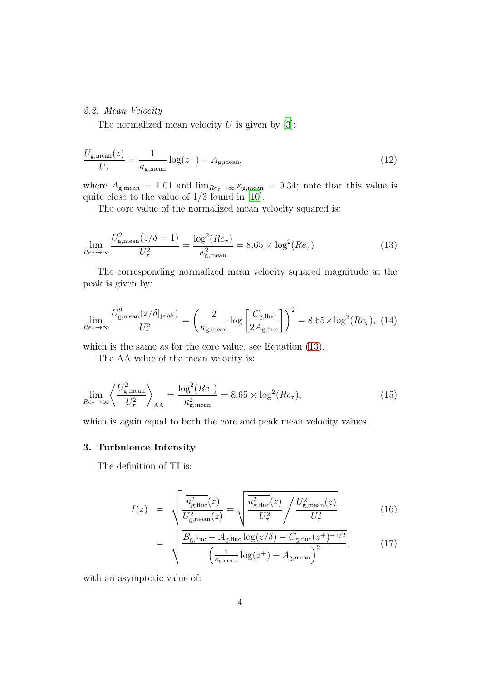# 2.2. Mean Velocity

The normalized mean velocity  $U$  is given by [\[3\]](#page-11-2):

$$
\frac{U_{\text{g,mean}}(z)}{U_{\tau}} = \frac{1}{\kappa_{\text{g,mean}}} \log(z^{+}) + A_{\text{g,mean}},
$$
\n(12)

where  $A_{\text{g,mean}} = 1.01$  and  $\lim_{Re_{\tau} \to \infty} \kappa_{\text{g,mean}} = 0.34$ ; note that this value is quite close to the value of  $1/3$  found in [\[10](#page-11-9)].

<span id="page-3-1"></span>The core value of the normalized mean velocity squared is:

$$
\lim_{Re_{\tau} \to \infty} \frac{U_{g,\text{mean}}^2(z/\delta = 1)}{U_{\tau}^2} = \frac{\log^2(Re_{\tau})}{\kappa_{g,\text{mean}}^2} = 8.65 \times \log^2(Re_{\tau})
$$
\n(13)

The corresponding normalized mean velocity squared magnitude at the peak is given by:

$$
\lim_{Re_{\tau} \to \infty} \frac{U_{\text{g,mean}}^2(z/\delta|_{\text{peak}})}{U_{\tau}^2} = \left(\frac{2}{\kappa_{\text{g,mean}}} \log \left[\frac{C_{\text{g,fluc}}}{2A_{\text{g,fluc}}}\right]\right)^2 = 8.65 \times \log^2(Re_{\tau}), \tag{14}
$$

which is the same as for the core value, see Equation [\(13\)](#page-3-1).

The AA value of the mean velocity is:

$$
\lim_{Re_\tau \to \infty} \left\langle \frac{U_{\text{g,mean}}^2}{U_\tau^2} \right\rangle_{AA} = \frac{\log^2(Re_\tau)}{\kappa_{\text{g,mean}}^2} = 8.65 \times \log^2(Re_\tau),\tag{15}
$$

which is again equal to both the core and peak mean velocity values.

# <span id="page-3-0"></span>3. Turbulence Intensity

The definition of TI is:

$$
I(z) = \sqrt{\frac{\overline{u_{g,\text{fluc}}^2(z)}}{U_{g,\text{mean}}^2(z)}} = \sqrt{\frac{\overline{u_{g,\text{fluc}}^2(z)}}{U_\tau^2}} / \frac{U_{g,\text{mean}}^2(z)}{U_\tau^2}
$$
(16)

$$
= \sqrt{\frac{B_{g,\text{fluc}} - A_{g,\text{fluc}} \log(z/\delta) - C_{g,\text{fluc}}(z^+)^{-1/2}}{\left(\frac{1}{\kappa_{g,\text{mean}}} \log(z^+) + A_{g,\text{mean}}\right)^2}},\tag{17}
$$

with an asymptotic value of: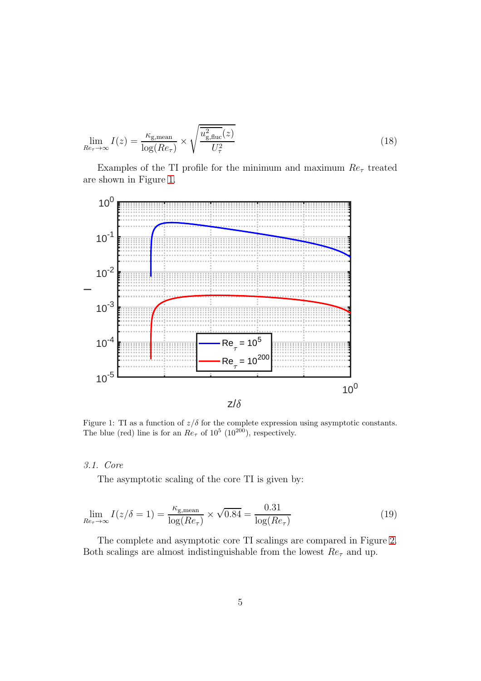$$
\lim_{Re_{\tau} \to \infty} I(z) = \frac{\kappa_{\text{g,mean}}}{\log(Re_{\tau})} \times \sqrt{\frac{u_{\text{g,fluc}}^2(z)}{U_{\tau}^2}}
$$
(18)

Examples of the TI profile for the minimum and maximum  $Re<sub>\tau</sub>$  treated are shown in Figure [1.](#page-4-0)



<span id="page-4-0"></span>Figure 1: TI as a function of  $z/\delta$  for the complete expression using asymptotic constants. The blue (red) line is for an  $Re_{\tau}$  of  $10^5$  ( $10^{200}$ ), respectively.

#### 3.1. Core

The asymptotic scaling of the core TI is given by:

$$
\lim_{Re_\tau \to \infty} I(z/\delta = 1) = \frac{\kappa_{\text{g,mean}}}{\log(Re_\tau)} \times \sqrt{0.84} = \frac{0.31}{\log(Re_\tau)}
$$
(19)

The complete and asymptotic core TI scalings are compared in Figure [2.](#page-5-0) Both scalings are almost indistinguishable from the lowest  $Re<sub>\tau</sub>$  and up.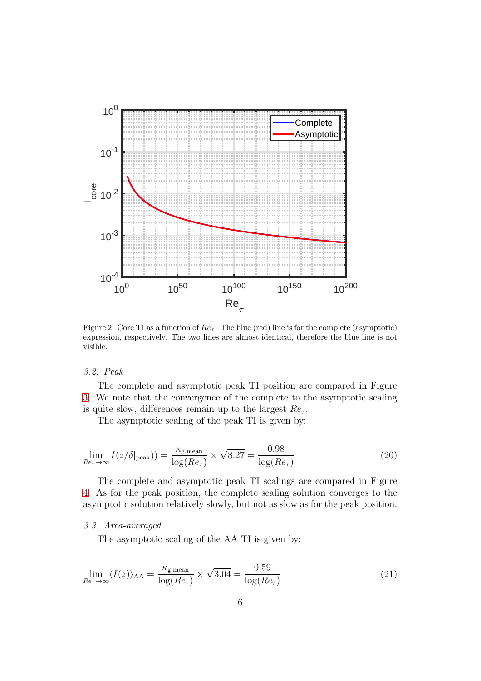

<span id="page-5-0"></span>Figure 2: Core TI as a function of  $Re_7$ . The blue (red) line is for the complete (asymptotic) expression, respectively. The two lines are almost identical, therefore the blue line is not visible.

# 3.2. Peak

The complete and asymptotic peak TI position are compared in Figure [3.](#page-6-1) We note that the convergence of the complete to the asymptotic scaling is quite slow, differences remain up to the largest  $Re<sub>\tau</sub>$ .

The asymptotic scaling of the peak TI is given by:

$$
\lim_{Re_\tau \to \infty} I(z/\delta|_{\text{peak}})) = \frac{\kappa_{\text{g,mean}}}{\log(Re_\tau)} \times \sqrt{8.27} = \frac{0.98}{\log(Re_\tau)}\tag{20}
$$

The complete and asymptotic peak TI scalings are compared in Figure [4.](#page-7-0) As for the peak position, the complete scaling solution converges to the asymptotic solution relatively slowly, but not as slow as for the peak position.

# 3.3. Area-averaged

The asymptotic scaling of the AA TI is given by:

$$
\lim_{Re_\tau \to \infty} \langle I(z) \rangle_{AA} = \frac{\kappa_{\text{g,mean}}}{\log(Re_\tau)} \times \sqrt{3.04} = \frac{0.59}{\log(Re_\tau)}\tag{21}
$$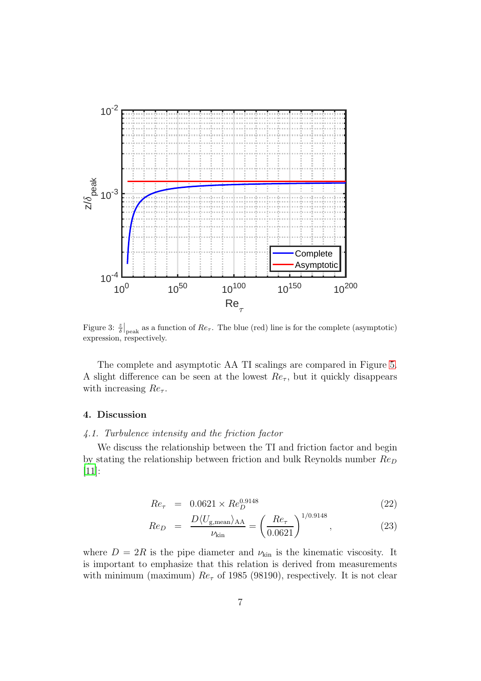

<span id="page-6-1"></span>Figure 3:  $\frac{z}{\delta}\Big|_{\text{peak}}$  as a function of  $Re_\tau$ . The blue (red) line is for the complete (asymptotic) expression, respectively.

The complete and asymptotic AA TI scalings are compared in Figure [5.](#page-8-0) A slight difference can be seen at the lowest  $Re<sub>\tau</sub>$ , but it quickly disappears with increasing  $Re<sub>\tau</sub>$ .

#### <span id="page-6-0"></span>4. Discussion

# 4.1. Turbulence intensity and the friction factor

We discuss the relationship between the TI and friction factor and begin by stating the relationship between friction and bulk Reynolds number  $Re_D$ [\[11\]](#page-11-10):

<span id="page-6-2"></span>
$$
Re_{\tau} = 0.0621 \times Re_D^{0.9148} \tag{22}
$$

$$
Re_D = \frac{D \langle U_{\text{g,mean}} \rangle_{AA}}{\nu_{\text{kin}}} = \left(\frac{Re_{\tau}}{0.0621}\right)^{1/0.9148}, \tag{23}
$$

where  $D = 2R$  is the pipe diameter and  $\nu_{kin}$  is the kinematic viscosity. It is important to emphasize that this relation is derived from measurements with minimum (maximum)  $Re_\tau$  of 1985 (98190), respectively. It is not clear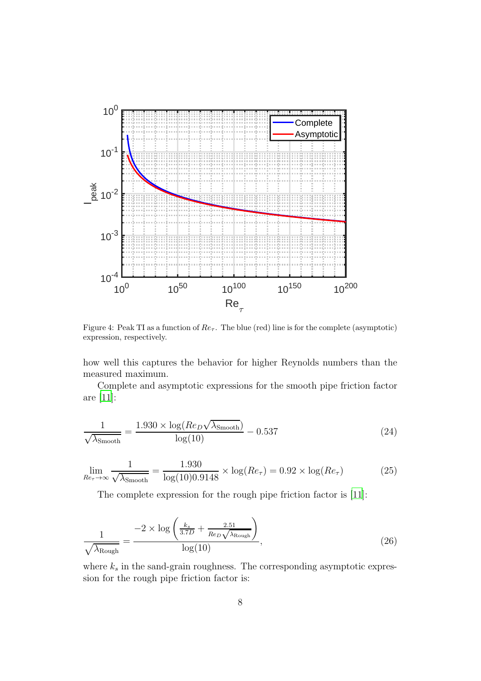

<span id="page-7-0"></span>Figure 4: Peak TI as a function of  $Re_7$ . The blue (red) line is for the complete (asymptotic) expression, respectively.

how well this captures the behavior for higher Reynolds numbers than the measured maximum.

Complete and asymptotic expressions for the smooth pipe friction factor are [\[11](#page-11-10)]:

$$
\frac{1}{\sqrt{\lambda_{\text{Smooth}}}} = \frac{1.930 \times \log(Re_D \sqrt{\lambda_{\text{Smooth}}})}{\log(10)} - 0.537
$$
 (24)

$$
\lim_{Re_\tau \to \infty} \frac{1}{\sqrt{\lambda_{\text{Smooth}}}} = \frac{1.930}{\log(10)0.9148} \times \log(Re_\tau) = 0.92 \times \log(Re_\tau)
$$
 (25)

The complete expression for the rough pipe friction factor is [\[11](#page-11-10)]:

$$
\frac{1}{\sqrt{\lambda_{\text{Rough}}}} = \frac{-2 \times \log\left(\frac{k_s}{3.7D} + \frac{2.51}{Re_D\sqrt{\lambda_{\text{Rough}}}}\right)}{\log(10)},
$$
\n(26)

where  $k_s$  in the sand-grain roughness. The corresponding asymptotic expression for the rough pipe friction factor is: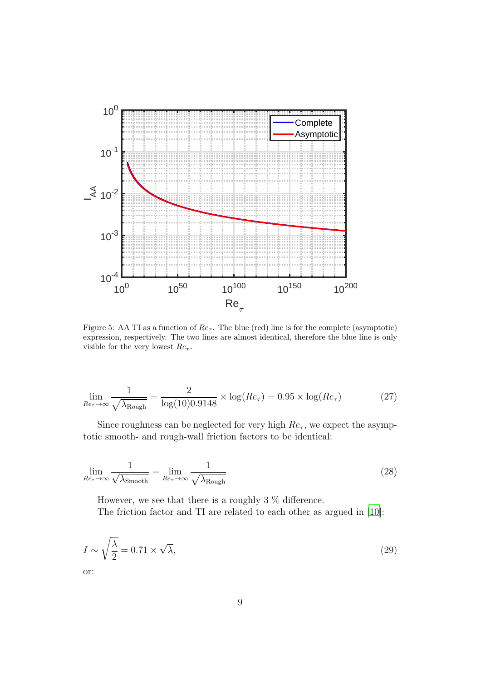

<span id="page-8-0"></span>Figure 5: AA TI as a function of  $Re<sub>\tau</sub>$ . The blue (red) line is for the complete (asymptotic) expression, respectively. The two lines are almost identical, therefore the blue line is only visible for the very lowest  $Re<sub>\tau</sub>$ .

$$
\lim_{Re_\tau \to \infty} \frac{1}{\sqrt{\lambda_{\text{Rough}}}} = \frac{2}{\log(10)0.9148} \times \log(Re_\tau) = 0.95 \times \log(Re_\tau) \tag{27}
$$

Since roughness can be neglected for very high  $Re<sub>\tau</sub>$ , we expect the asymptotic smooth- and rough-wall friction factors to be identical:

$$
\lim_{Re_{\tau} \to \infty} \frac{1}{\sqrt{\lambda_{\text{Smooth}}}} = \lim_{Re_{\tau} \to \infty} \frac{1}{\sqrt{\lambda_{\text{Rough}}}}
$$
\n(28)

However, we see that there is a roughly 3 % difference.

The friction factor and TI are related to each other as argued in [\[10](#page-11-9)]:

$$
I \sim \sqrt{\frac{\lambda}{2}} = 0.71 \times \sqrt{\lambda},\tag{29}
$$

or: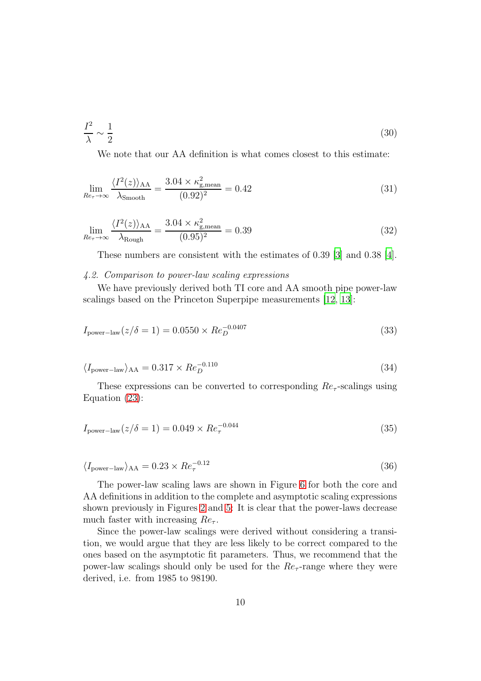$$
\frac{I^2}{\lambda} \sim \frac{1}{2} \tag{30}
$$

We note that our AA definition is what comes closest to this estimate:

$$
\lim_{Re_\tau \to \infty} \frac{\langle I^2(z) \rangle_{\text{AA}}}{\lambda_{\text{Smooth}}} = \frac{3.04 \times \kappa_{\text{g,mean}}^2}{(0.92)^2} = 0.42
$$
\n(31)

$$
\lim_{Re_\tau \to \infty} \frac{\langle I^2(z) \rangle_{\text{AA}}}{\lambda_{\text{Rough}}} = \frac{3.04 \times \kappa_{\text{g,mean}}^2}{(0.95)^2} = 0.39 \tag{32}
$$

These numbers are consistent with the estimates of 0.39 [\[3\]](#page-11-2) and 0.38 [\[4\]](#page-11-3).

#### 4.2. Comparison to power-law scaling expressions

We have previously derived both TI core and AA smooth pipe power-law scalings based on the Princeton Superpipe measurements [\[12,](#page-11-11) [13](#page-11-12)]:

$$
I_{\text{power-law}}(z/\delta = 1) = 0.0550 \times Re_D^{-0.0407}
$$
\n(33)

$$
\langle I_{\text{power-law}} \rangle_{\text{AA}} = 0.317 \times Re_D^{-0.110}
$$
\n(34)

These expressions can be converted to corresponding  $Re_\tau$ -scalings using Equation [\(23\)](#page-6-2):

$$
I_{\text{power-law}}(z/\delta = 1) = 0.049 \times Re_{\tau}^{-0.044} \tag{35}
$$

$$
\langle I_{\text{power-law}} \rangle_{\text{AA}} = 0.23 \times Re_{\tau}^{-0.12} \tag{36}
$$

The power-law scaling laws are shown in Figure [6](#page-10-1) for both the core and AA definitions in addition to the complete and asymptotic scaling expressions shown previously in Figures [2](#page-5-0) and [5:](#page-8-0) It is clear that the power-laws decrease much faster with increasing  $Re<sub>\tau</sub>$ .

Since the power-law scalings were derived without considering a transition, we would argue that they are less likely to be correct compared to the ones based on the asymptotic fit parameters. Thus, we recommend that the power-law scalings should only be used for the  $Re<sub>\tau</sub>$ -range where they were derived, i.e. from 1985 to 98190.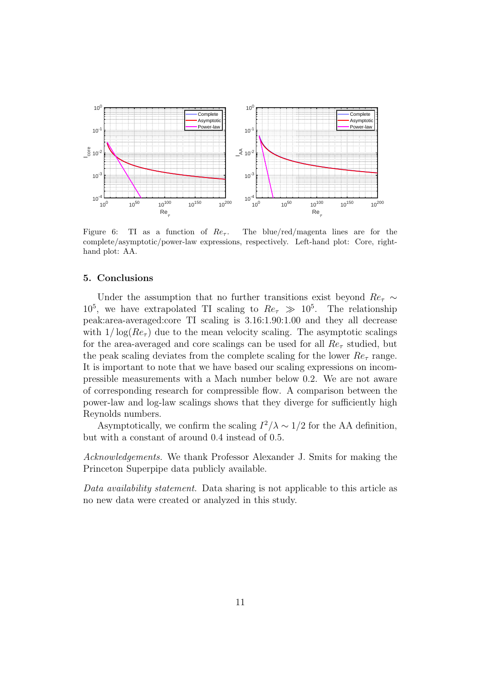

<span id="page-10-1"></span>Figure 6: TI as a function of  $Re<sub>\tau</sub>$ . The blue/red/magenta lines are for the complete/asymptotic/power-law expressions, respectively. Left-hand plot: Core, righthand plot: AA.

# <span id="page-10-0"></span>5. Conclusions

Under the assumption that no further transitions exist beyond  $Re<sub>τ</sub> \sim$  $10^5$ , we have extrapolated TI scaling to  $Re_\tau \gg 10^5$ . The relationship peak:area-averaged:core TI scaling is 3.16:1.90:1.00 and they all decrease with  $1/\log(Re_\tau)$  due to the mean velocity scaling. The asymptotic scalings for the area-averaged and core scalings can be used for all  $Re<sub>\tau</sub>$  studied, but the peak scaling deviates from the complete scaling for the lower  $Re_\tau$  range. It is important to note that we have based our scaling expressions on incompressible measurements with a Mach number below 0.2. We are not aware of corresponding research for compressible flow. A comparison between the power-law and log-law scalings shows that they diverge for sufficiently high Reynolds numbers.

Asymptotically, we confirm the scaling  $I^2/\lambda \sim 1/2$  for the AA definition, but with a constant of around 0.4 instead of 0.5.

Acknowledgements. We thank Professor Alexander J. Smits for making the Princeton Superpipe data publicly available.

Data availability statement. Data sharing is not applicable to this article as no new data were created or analyzed in this study.